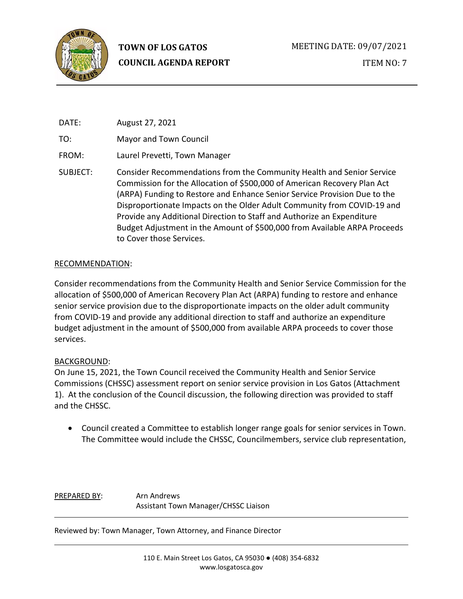

DATE: August 27, 2021

TO: Mayor and Town Council

FROM: Laurel Prevetti, Town Manager

SUBJECT: Consider Recommendations from the Community Health and Senior Service Commission for the Allocation of \$500,000 of American Recovery Plan Act (ARPA) Funding to Restore and Enhance Senior Service Provision Due to the Disproportionate Impacts on the Older Adult Community from COVID-19 and Provide any Additional Direction to Staff and Authorize an Expenditure Budget Adjustment in the Amount of \$500,000 from Available ARPA Proceeds to Cover those Services.

## RECOMMENDATION:

Consider recommendations from the Community Health and Senior Service Commission for the allocation of \$500,000 of American Recovery Plan Act (ARPA) funding to restore and enhance senior service provision due to the disproportionate impacts on the older adult community from COVID-19 and provide any additional direction to staff and authorize an expenditure budget adjustment in the amount of \$500,000 from available ARPA proceeds to cover those services.

# BACKGROUND:

On June 15, 2021, the Town Council received the Community Health and Senior Service Commissions (CHSSC) assessment report on senior service provision in Los Gatos (Attachment 1). At the conclusion of the Council discussion, the following direction was provided to staff and the CHSSC.

• Council created a Committee to establish longer range goals for senior services in Town. The Committee would include the CHSSC, Councilmembers, service club representation,

PREPARED BY: Arn Andrews Assistant Town Manager/CHSSC Liaison

Reviewed by: Town Manager, Town Attorney, and Finance Director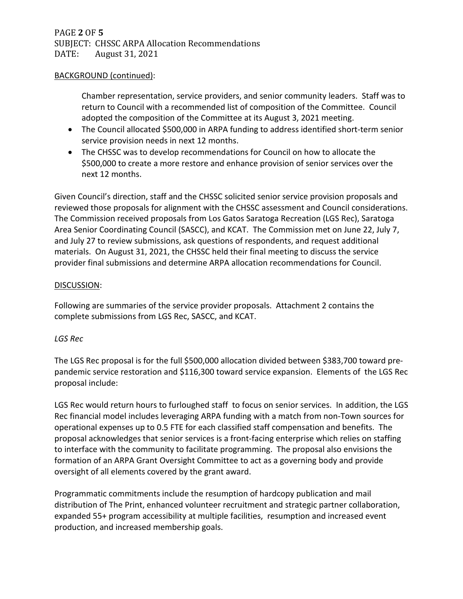# PAGE **2** OF **5** SUBJECT: CHSSC ARPA Allocation Recommendations<br>DATE: August 31, 2021 August 31, 2021

#### BACKGROUND (continued):

Chamber representation, service providers, and senior community leaders. Staff was to return to Council with a recommended list of composition of the Committee. Council adopted the composition of the Committee at its August 3, 2021 meeting.

- The Council allocated \$500,000 in ARPA funding to address identified short-term senior service provision needs in next 12 months.
- The CHSSC was to develop recommendations for Council on how to allocate the \$500,000 to create a more restore and enhance provision of senior services over the next 12 months.

Given Council's direction, staff and the CHSSC solicited senior service provision proposals and reviewed those proposals for alignment with the CHSSC assessment and Council considerations. The Commission received proposals from Los Gatos Saratoga Recreation (LGS Rec), Saratoga Area Senior Coordinating Council (SASCC), and KCAT. The Commission met on June 22, July 7, and July 27 to review submissions, ask questions of respondents, and request additional materials. On August 31, 2021, the CHSSC held their final meeting to discuss the service provider final submissions and determine ARPA allocation recommendations for Council.

### DISCUSSION:

Following are summaries of the service provider proposals. Attachment 2 contains the complete submissions from LGS Rec, SASCC, and KCAT.

## *LGS Rec*

The LGS Rec proposal is for the full \$500,000 allocation divided between \$383,700 toward prepandemic service restoration and \$116,300 toward service expansion. Elements of the LGS Rec proposal include:

LGS Rec would return hours to furloughed staff to focus on senior services. In addition, the LGS Rec financial model includes leveraging ARPA funding with a match from non-Town sources for operational expenses up to 0.5 FTE for each classified staff compensation and benefits. The proposal acknowledges that senior services is a front-facing enterprise which relies on staffing to interface with the community to facilitate programming. The proposal also envisions the formation of an ARPA Grant Oversight Committee to act as a governing body and provide oversight of all elements covered by the grant award.

Programmatic commitments include the resumption of hardcopy publication and mail distribution of The Print, enhanced volunteer recruitment and strategic partner collaboration, expanded 55+ program accessibility at multiple facilities, resumption and increased event production, and increased membership goals.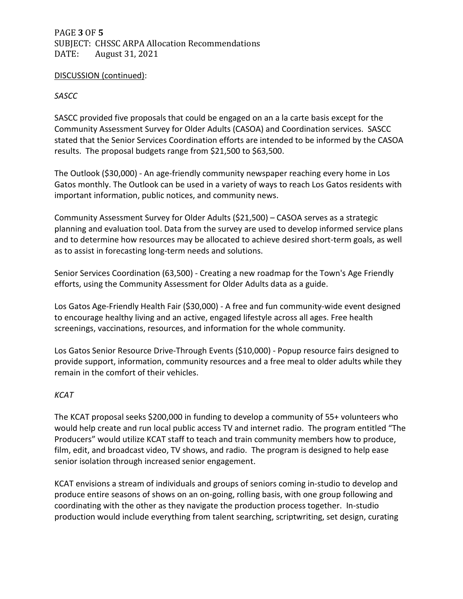# PAGE **3** OF **5** SUBJECT: CHSSC ARPA Allocation Recommendations<br>DATE: August 31, 2021 August 31, 2021

### DISCUSSION (continued):

## *SASCC*

SASCC provided five proposals that could be engaged on an a la carte basis except for the Community Assessment Survey for Older Adults (CASOA) and Coordination services. SASCC stated that the Senior Services Coordination efforts are intended to be informed by the CASOA results. The proposal budgets range from \$21,500 to \$63,500.

The Outlook (\$30,000) - An age-friendly community newspaper reaching every home in Los Gatos monthly. The Outlook can be used in a variety of ways to reach Los Gatos residents with important information, public notices, and community news.

Community Assessment Survey for Older Adults (\$21,500) – CASOA serves as a strategic planning and evaluation tool. Data from the survey are used to develop informed service plans and to determine how resources may be allocated to achieve desired short-term goals, as well as to assist in forecasting long-term needs and solutions.

Senior Services Coordination (63,500) - Creating a new roadmap for the Town's Age Friendly efforts, using the Community Assessment for Older Adults data as a guide.

Los Gatos Age-Friendly Health Fair (\$30,000) - A free and fun community-wide event designed to encourage healthy living and an active, engaged lifestyle across all ages. Free health screenings, vaccinations, resources, and information for the whole community.

Los Gatos Senior Resource Drive-Through Events (\$10,000) - Popup resource fairs designed to provide support, information, community resources and a free meal to older adults while they remain in the comfort of their vehicles.

## *KCAT*

The KCAT proposal seeks \$200,000 in funding to develop a community of 55+ volunteers who would help create and run local public access TV and internet radio. The program entitled "The Producers" would utilize KCAT staff to teach and train community members how to produce, film, edit, and broadcast video, TV shows, and radio. The program is designed to help ease senior isolation through increased senior engagement.

KCAT envisions a stream of individuals and groups of seniors coming in-studio to develop and produce entire seasons of shows on an on-going, rolling basis, with one group following and coordinating with the other as they navigate the production process together. In-studio production would include everything from talent searching, scriptwriting, set design, curating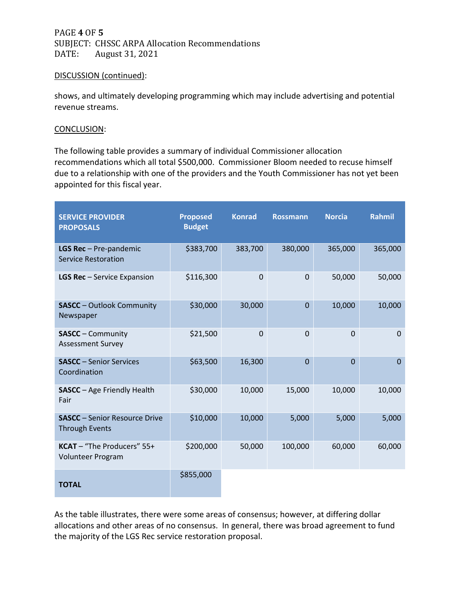PAGE **4** OF **5** SUBJECT: CHSSC ARPA Allocation Recommendations<br>DATE: August 31, 2021 August 31, 2021

#### DISCUSSION (continued):

shows, and ultimately developing programming which may include advertising and potential revenue streams.

#### CONCLUSION:

The following table provides a summary of individual Commissioner allocation recommendations which all total \$500,000. Commissioner Bloom needed to recuse himself due to a relationship with one of the providers and the Youth Commissioner has not yet been appointed for this fiscal year.

| <b>SERVICE PROVIDER</b><br><b>PROPOSALS</b>                   | <b>Proposed</b><br><b>Budget</b> | <b>Konrad</b> | <b>Rossmann</b> | <b>Norcia</b> | <b>Rahmil</b>  |
|---------------------------------------------------------------|----------------------------------|---------------|-----------------|---------------|----------------|
| LGS Rec - Pre-pandemic<br><b>Service Restoration</b>          | \$383,700                        | 383,700       | 380,000         | 365,000       | 365,000        |
| <b>LGS Rec</b> - Service Expansion                            | \$116,300                        | $\mathbf 0$   | $\Omega$        | 50,000        | 50,000         |
| <b>SASCC</b> - Outlook Community<br>Newspaper                 | \$30,000                         | 30,000        | $\mathbf{0}$    | 10,000        | 10,000         |
| <b>SASCC</b> – Community<br><b>Assessment Survey</b>          | \$21,500                         | $\Omega$      | $\Omega$        | 0             | $\Omega$       |
| <b>SASCC</b> - Senior Services<br>Coordination                | \$63,500                         | 16,300        | $\Omega$        | $\Omega$      | $\overline{0}$ |
| <b>SASCC</b> - Age Friendly Health<br>Fair                    | \$30,000                         | 10,000        | 15,000          | 10,000        | 10,000         |
| <b>SASCC</b> - Senior Resource Drive<br><b>Through Events</b> | \$10,000                         | 10,000        | 5,000           | 5,000         | 5,000          |
| KCAT - "The Producers" 55+<br>Volunteer Program               | \$200,000                        | 50,000        | 100,000         | 60,000        | 60,000         |
| <b>TOTAL</b>                                                  | \$855,000                        |               |                 |               |                |

As the table illustrates, there were some areas of consensus; however, at differing dollar allocations and other areas of no consensus. In general, there was broad agreement to fund the majority of the LGS Rec service restoration proposal.